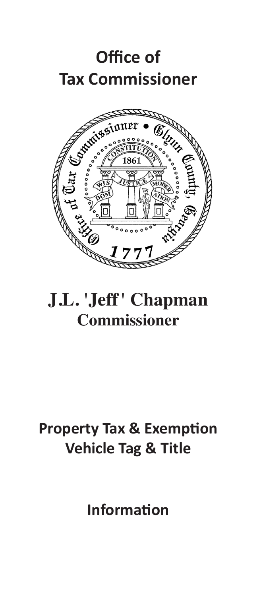



# **J.L. 'Jeff' Chapman Commissioner**

# **Property Tax & Exemption Vehicle Tag & Title**

**Information**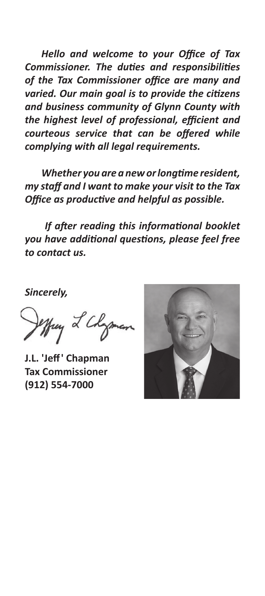*Hello and welcome to your Office of Tax Commissioner. The duties and responsibilities of the Tax Commissioner office are many and varied. Our main goal is to provide the citizens and business community of Glynn County with the highest level of professional, efficient and courteous service that can be offered while complying with all legal requirements.*

 *Whether you are a neworlongtime resident, my staff and I want to make your visit to the Tax Office as productive and helpful as possible.*

*If after reading this informational booklet you have additional questions, please feel free to contact us.* 

*Sincerely,*

yong L Chayon 

**J.L. 'Jeff' Chapman Tax Commissioner (912) 554-7000**

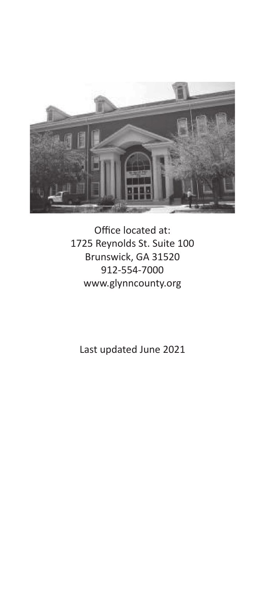

Office located at: 1725 Reynolds St. Suite 100 Brunswick, GA 31520 912-554-7000 www.glynncounty.org

Last updated June 2021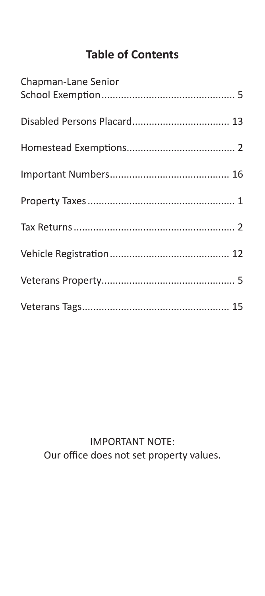## **Table of Contents**

| Chapman-Lane Senior |  |
|---------------------|--|
|                     |  |
|                     |  |
|                     |  |
|                     |  |
|                     |  |
|                     |  |
|                     |  |
|                     |  |

IMPORTANT NOTE: Our office does not set property values.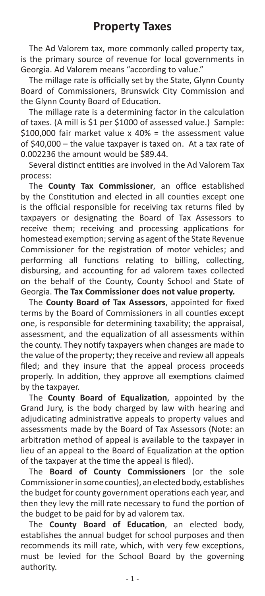The Ad Valorem tax, more commonly called property tax, is the primary source of revenue for local governments in Georgia. Ad Valorem means "according to value."

The millage rate is officially set by the State, Glynn County Board of Commissioners, Brunswick City Commission and the Glynn County Board of Education.

The millage rate is a determining factor in the calculation of taxes. (A mill is \$1 per \$1000 of assessed value.) Sample: \$100.000 fair market value  $x$  40% = the assessment value of \$40,000 – the value taxpayer is taxed on. At a tax rate of 0.002236 the amount would be \$89.44.

Several distinct entities are involved in the Ad Valorem Tax process:

The **County Tax Commissioner**, an office established by the Constitution and elected in all counties except one is the official responsible for receiving tax returns filed by taxpayers or designating the Board of Tax Assessors to receive them; receiving and processing applications for homestead exemption; serving as agent of the State Revenue Commissioner for the registration of motor vehicles; and performing all functions relating to billing, collecting, disbursing, and accounting for ad valorem taxes collected on the behalf of the County, County School and State of Georgia. **The Tax Commissioner does not value property.**

The **County Board of Tax Assessors**, appointed for fixed terms by the Board of Commissioners in all counties except one, is responsible for determining taxability; the appraisal, assessment, and the equalization of all assessments within the county. They notify taxpayers when changes are made to the value of the property; they receive and review all appeals filed; and they insure that the appeal process proceeds properly. In addition, they approve all exemptions claimed by the taxpayer.

The **County Board of Equalization**, appointed by the Grand Jury, is the body charged by law with hearing and adjudicating administrative appeals to property values and assessments made by the Board of Tax Assessors (Note: an arbitration method of appeal is available to the taxpayer in lieu of an appeal to the Board of Equalization at the option of the taxpayer at the time the appeal is filed).

The **Board of County Commissioners** (or the sole Commissioner in some counties), an elected body, establishes the budget for county government operations each year, and then they levy the mill rate necessary to fund the portion of the budget to be paid for by ad valorem tax.

The **County Board of Education**, an elected body, establishes the annual budget for school purposes and then recommends its mill rate, which, with very few exceptions, must be levied for the School Board by the governing authority.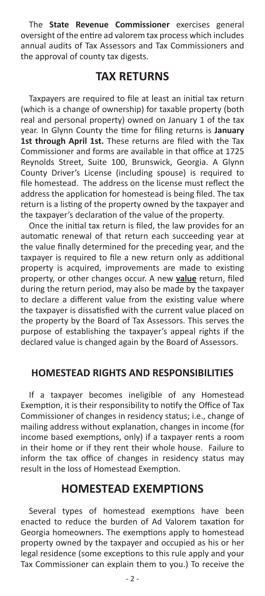The **State Revenue Commissioner** exercises general oversight of the entire ad valorem tax process which includes annual audits of Tax Assessors and Tax Commissioners and the approval of county tax digests.

## **TAX RETURNS**

Taxpayers are required to file at least an initial tax return (which is a change of ownership) for taxable property (both real and personal property) owned on January 1 of the tax year. In Glynn County the time for filing returns is **January 1st through April 1st.** These returns are filed with the Tax Commissioner and forms are available in that office at 1725 Reynolds Street, Suite 100, Brunswick, Georgia. A Glynn County Driver's License (including spouse) is required to file homestead. The address on the license must reflect the address the application for homestead is being filed. The tax return is a listing of the property owned by the taxpayer and the taxpayer's declaration of the value of the property.

Once the initial tax return is filed, the law provides for an automatic renewal of that return each succeeding year at the value finally determined for the preceding year, and the taxpayer is required to file a new return only as additional property is acquired, improvements are made to existing property, or other changes occur. A new **value** return, filed during the return period, may also be made by the taxpayer to declare a different value from the existing value where the taxpayer is dissatisfied with the current value placed on the property by the Board of Tax Assessors. This serves the purpose of establishing the taxpayer's appeal rights if the declared value is changed again by the Board of Assessors.

## **HOMESTEAD RIGHTS AND RESPONSIBILITIES**

If a taxpayer becomes ineligible of any Homestead Exemption, it is their responsibility to notify the Office of Tax Commissioner of changes in residency status; i.e., change of mailing address without explanation, changes in income (for income based exemptions, only) if a taxpayer rents a room in their home or if they rent their whole house. Failure to inform the tax office of changes in residency status may result in the loss of Homestead Exemption.

## **HOMESTEAD EXEMPTIONS**

Several types of homestead exemptions have been enacted to reduce the burden of Ad Valorem taxation for Georgia homeowners. The exemptions apply to homestead property owned by the taxpayer and occupied as his or her legal residence (some exceptions to this rule apply and your Tax Commissioner can explain them to you.) To receive the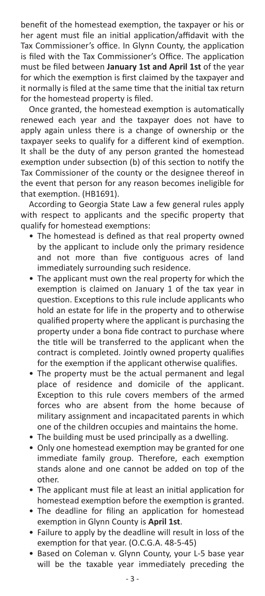benefit of the homestead exemption, the taxpayer or his or her agent must file an initial application/affidavit with the Tax Commissioner's office. In Glynn County, the application is filed with the Tax Commissioner's Office. The application must be filed between **January 1st and April 1st** of the year for which the exemption is first claimed by the taxpayer and it normally is filed at the same time that the initial tax return for the homestead property is filed.

Once granted, the homestead exemption is automatically renewed each year and the taxpayer does not have to apply again unless there is a change of ownership or the taxpayer seeks to qualify for a different kind of exemption. It shall be the duty of any person granted the homestead exemption under subsection (b) of this section to notify the Tax Commissioner of the county or the designee thereof in the event that person for any reason becomes ineligible for that exemption. (HB1691).

According to Georgia State Law a few general rules apply with respect to applicants and the specific property that qualify for homestead exemptions:

- The homestead is defined as that real property owned by the applicant to include only the primary residence and not more than five contiguous acres of land immediately surrounding such residence.
- The applicant must own the real property for which the exemption is claimed on January 1 of the tax year in question. Exceptions to this rule include applicants who hold an estate for life in the property and to otherwise qualified property where the applicant is purchasing the property under a bona fide contract to purchase where the title will be transferred to the applicant when the contract is completed. Jointly owned property qualifies for the exemption if the applicant otherwise qualifies.
- The property must be the actual permanent and legal place of residence and domicile of the applicant. Exception to this rule covers members of the armed forces who are absent from the home because of military assignment and incapacitated parents in which one of the children occupies and maintains the home.
- The building must be used principally as a dwelling.
- Only one homestead exemption may be granted for one immediate family group. Therefore, each exemption stands alone and one cannot be added on top of the other.
- The applicant must file at least an initial application for homestead exemption before the exemption is granted.
- The deadline for filing an application for homestead exemption in Glynn County is **April 1st**.
- Failure to apply by the deadline will result in loss of the exemption for that year. (O.C.G.A. 48-5-45)
- Based on Coleman v. Glynn County, your L-5 base year will be the taxable year immediately preceding the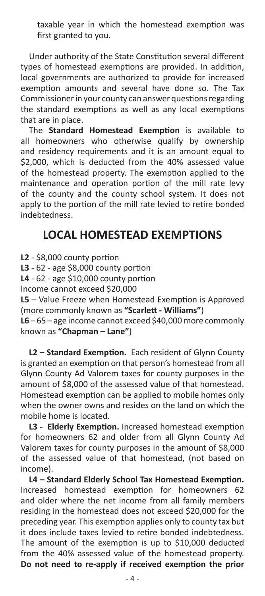taxable year in which the homestead exemption was first granted to you.

Under authority of the State Constitution several different types of homestead exemptions are provided. In addition, local governments are authorized to provide for increased exemption amounts and several have done so. The Tax Commissioner in your county can answer questions regarding the standard exemptions as well as any local exemptions that are in place.

The **Standard Homestead Exemption** is available to all homeowners who otherwise qualify by ownership and residency requirements and it is an amount equal to \$2,000, which is deducted from the 40% assessed value of the homestead property. The exemption applied to the maintenance and operation portion of the mill rate levy of the county and the county school system. It does not apply to the portion of the mill rate levied to retire bonded indebtedness.

## **LOCAL HOMESTEAD EXEMPTIONS**

**L2** - \$8,000 county portion

**L3** - 62 - age \$8,000 county portion

**L4** - 62 - age \$10,000 county portion

Income cannot exceed \$20,000

**L5** – Value Freeze when Homestead Exemption is Approved (more commonly known as **"Scarlett - Williams"**)

**L6** – 65 – age income cannot exceed \$40,000 more commonly known as **"Chapman – Lane"**)

**L2 – Standard Exemption.** Each resident of Glynn County is granted an exemption on that person's homestead from all Glynn County Ad Valorem taxes for county purposes in the amount of \$8,000 of the assessed value of that homestead. Homestead exemption can be applied to mobile homes only when the owner owns and resides on the land on which the mobile home is located.

**L3 - Elderly Exemption.** Increased homestead exemption for homeowners 62 and older from all Glynn County Ad Valorem taxes for county purposes in the amount of \$8,000 of the assessed value of that homestead, (not based on income).

**L4 – Standard Elderly School Tax Homestead Exemption.**  Increased homestead exemption for homeowners 62 and older where the net income from all family members residing in the homestead does not exceed \$20,000 for the preceding year. This exemption applies only to county tax but it does include taxes levied to retire bonded indebtedness. The amount of the exemption is up to \$10,000 deducted from the 40% assessed value of the homestead property. **Do not need to re-apply if received exemption the prior**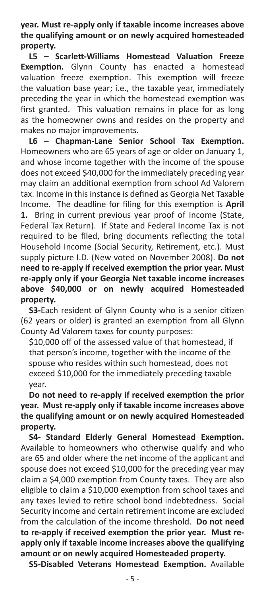**year. Must re-apply only if taxable income increases above the qualifying amount or on newly acquired homesteaded property.**

**L5 – Scarlett-Williams Homestead Valuation Freeze Exemption.** Glynn County has enacted a homestead valuation freeze exemption. This exemption will freeze the valuation base year; i.e., the taxable year, immediately preceding the year in which the homestead exemption was first granted. This valuation remains in place for as long as the homeowner owns and resides on the property and makes no major improvements.

**L6 – Chapman-Lane Senior School Tax Exemption.**  Homeowners who are 65 years of age or older on January 1, and whose income together with the income of the spouse does not exceed \$40,000 for the immediately preceding year may claim an additional exemption from school Ad Valorem tax. Income in this instance is defined as Georgia Net Taxable Income. The deadline for filing for this exemption is **April 1.** Bring in current previous year proof of Income (State, Federal Tax Return). If State and Federal Income Tax is not required to be filed, bring documents reflecting the total Household Income (Social Security, Retirement, etc.). Must supply picture I.D. (New voted on November 2008). **Do not need to re-apply if received exemption the prior year. Must re-apply only if your Georgia Net taxable income increases above \$40,000 or on newly acquired Homesteaded property.**

**S3-**Each resident of Glynn County who is a senior citizen (62 years or older) is granted an exemption from all Glynn County Ad Valorem taxes for county purposes:

\$10,000 off of the assessed value of that homestead, if that person's income, together with the income of the spouse who resides within such homestead, does not exceed \$10,000 for the immediately preceding taxable year.

**Do not need to re-apply if received exemption the prior year. Must re-apply only if taxable income increases above the qualifying amount or on newly acquired Homesteaded property.**

**S4- Standard Elderly General Homestead Exemption.**  Available to homeowners who otherwise qualify and who are 65 and older where the net income of the applicant and spouse does not exceed \$10,000 for the preceding year may claim a \$4,000 exemption from County taxes. They are also eligible to claim a \$10,000 exemption from school taxes and any taxes levied to retire school bond indebtedness. Social Security income and certain retirement income are excluded from the calculation of the income threshold. **Do not need to re-apply if received exemption the prior year. Must reapply only if taxable income increases above the qualifying amount or on newly acquired Homesteaded property.** 

**S5-Disabled Veterans Homestead Exemption.** Available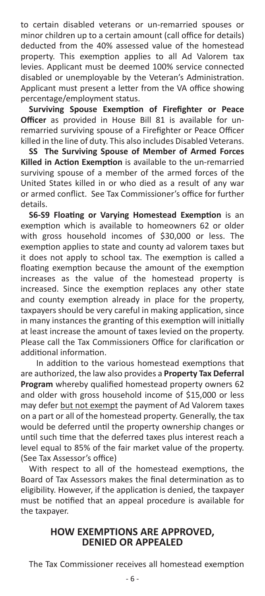to certain disabled veterans or un-remarried spouses or minor children up to a certain amount (call office for details) deducted from the 40% assessed value of the homestead property. This exemption applies to all Ad Valorem tax levies. Applicant must be deemed 100% service connected disabled or unemployable by the Veteran's Administration. Applicant must present a letter from the VA office showing percentage/employment status.

**Surviving Spouse Exemption of Firefighter or Peace Officer** as provided in House Bill 81 is available for unremarried surviving spouse of a Firefighter or Peace Officer killed in the line of duty. This also includes Disabled Veterans.

**SS The Surviving Spouse of Member of Armed Forces Killed in Action Exemption** is available to the un-remarried surviving spouse of a member of the armed forces of the United States killed in or who died as a result of any war or armed conflict. See Tax Commissioner's office for further details.

**S6-S9 Floating or Varying Homestead Exemption** is an exemption which is available to homeowners 62 or older with gross household incomes of \$30,000 or less. The exemption applies to state and county ad valorem taxes but it does not apply to school tax. The exemption is called a floating exemption because the amount of the exemption increases as the value of the homestead property is increased. Since the exemption replaces any other state and county exemption already in place for the property, taxpayers should be very careful in making application, since in many instances the granting of this exemption will initially at least increase the amount of taxes levied on the property. Please call the Tax Commissioners Office for clarification or additional information.

 In addition to the various homestead exemptions that are authorized, the law also provides a **Property Tax Deferral Program** whereby qualified homestead property owners 62 and older with gross household income of \$15,000 or less may defer but not exempt the payment of Ad Valorem taxes on a part or all of the homestead property. Generally, the tax would be deferred until the property ownership changes or until such time that the deferred taxes plus interest reach a level equal to 85% of the fair market value of the property. (See Tax Assessor's office)

With respect to all of the homestead exemptions, the Board of Tax Assessors makes the final determination as to eligibility. However, if the application is denied, the taxpayer must be notified that an appeal procedure is available for the taxpayer.

## **HOW EXEMPTIONS ARE APPROVED, DENIED OR APPEALED**

The Tax Commissioner receives all homestead exemption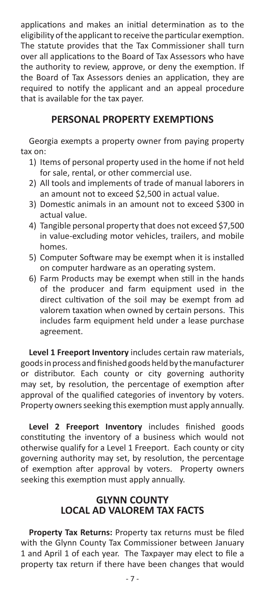applications and makes an initial determination as to the eligibility of the applicant to receive the particular exemption. The statute provides that the Tax Commissioner shall turn over all applications to the Board of Tax Assessors who have the authority to review, approve, or deny the exemption. If the Board of Tax Assessors denies an application, they are required to notify the applicant and an appeal procedure that is available for the tax payer.

## **PERSONAL PROPERTY EXEMPTIONS**

Georgia exempts a property owner from paying property tax on:

- 1) Items of personal property used in the home if not held for sale, rental, or other commercial use.
- 2) All tools and implements of trade of manual laborers in an amount not to exceed \$2,500 in actual value.
- 3) Domestic animals in an amount not to exceed \$300 in actual value.
- 4) Tangible personal property that does not exceed \$7,500 in value-excluding motor vehicles, trailers, and mobile homes.
- 5) Computer Software may be exempt when it is installed on computer hardware as an operating system.
- 6) Farm Products may be exempt when still in the hands of the producer and farm equipment used in the direct cultivation of the soil may be exempt from ad valorem taxation when owned by certain persons. This includes farm equipment held under a lease purchase agreement.

**Level 1 Freeport Inventory** includes certain raw materials, goods in process and finished goods held by the manufacturer or distributor. Each county or city governing authority may set, by resolution, the percentage of exemption after approval of the qualified categories of inventory by voters. Property owners seeking this exemption must apply annually.

**Level 2 Freeport Inventory** includes finished goods constituting the inventory of a business which would not otherwise qualify for a Level 1 Freeport. Each county or city governing authority may set, by resolution, the percentage of exemption after approval by voters. Property owners seeking this exemption must apply annually.

## **GLYNN COUNTY LOCAL AD VALOREM TAX FACTS**

**Property Tax Returns:** Property tax returns must be filed with the Glynn County Tax Commissioner between January 1 and April 1 of each year. The Taxpayer may elect to file a property tax return if there have been changes that would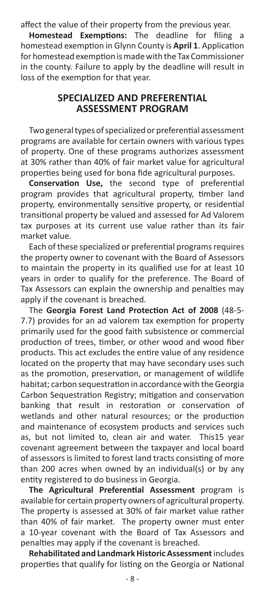affect the value of their property from the previous year.

**Homestead Exemptions:** The deadline for filing a homestead exemption in Glynn County is **April 1**. Application for homestead exemption is made with the Tax Commissioner in the county. Failure to apply by the deadline will result in loss of the exemption for that year.

#### **SPECIALIZED AND PREFERENTIAL ASSESSMENT PROGRAM**

Two general types of specialized or preferential assessment programs are available for certain owners with various types of property. One of these programs authorizes assessment at 30% rather than 40% of fair market value for agricultural properties being used for bona fide agricultural purposes.

**Conservation Use,** the second type of preferential program provides that agricultural property, timber land property, environmentally sensitive property, or residential transitional property be valued and assessed for Ad Valorem tax purposes at its current use value rather than its fair market value.

Each of these specialized or preferential programs requires the property owner to covenant with the Board of Assessors to maintain the property in its qualified use for at least 10 years in order to qualify for the preference. The Board of Tax Assessors can explain the ownership and penalties may apply if the covenant is breached.

The **Georgia Forest Land Protection Act of 2008** (48-5- 7.7) provides for an ad valorem tax exemption for property primarily used for the good faith subsistence or commercial production of trees, timber, or other wood and wood fiber products. This act excludes the entire value of any residence located on the property that may have secondary uses such as the promotion, preservation, or management of wildlife habitat; carbon sequestration in accordance with the Georgia Carbon Sequestration Registry; mitigation and conservation banking that result in restoration or conservation of wetlands and other natural resources; or the production and maintenance of ecosystem products and services such as, but not limited to, clean air and water. This15 year covenant agreement between the taxpayer and local board of assessors is limited to forest land tracts consisting of more than 200 acres when owned by an individual(s) or by any entity registered to do business in Georgia.

**The Agricultural Preferential Assessment** program is available for certain property owners of agricultural property. The property is assessed at 30% of fair market value rather than 40% of fair market. The property owner must enter a 10-year covenant with the Board of Tax Assessors and penalties may apply if the covenant is breached.

**Rehabilitated and Landmark Historic Assessment** includes properties that qualify for listing on the Georgia or National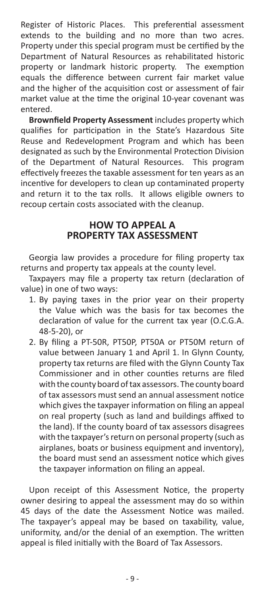Register of Historic Places. This preferential assessment extends to the building and no more than two acres. Property under this special program must be certified by the Department of Natural Resources as rehabilitated historic property or landmark historic property. The exemption equals the difference between current fair market value and the higher of the acquisition cost or assessment of fair market value at the time the original 10-year covenant was entered.

**Brownfield Property Assessment** includes property which qualifies for participation in the State's Hazardous Site Reuse and Redevelopment Program and which has been designated as such by the Environmental Protection Division of the Department of Natural Resources. This program effectively freezes the taxable assessment for ten years as an incentive for developers to clean up contaminated property and return it to the tax rolls. It allows eligible owners to recoup certain costs associated with the cleanup.

## **HOW TO APPEAL A PROPERTY TAX ASSESSMENT**

Georgia law provides a procedure for filing property tax returns and property tax appeals at the county level.

Taxpayers may file a property tax return (declaration of value) in one of two ways:

- 1. By paying taxes in the prior year on their property the Value which was the basis for tax becomes the declaration of value for the current tax year (O.C.G.A. 48-5-20), or
- 2. By filing a PT-50R, PT50P, PT50A or PT50M return of value between January 1 and April 1. In Glynn County, property tax returns are filed with the Glynn County Tax Commissioner and in other counties returns are filed with the county board of tax assessors. The county board of tax assessors must send an annual assessment notice which gives the taxpayer information on filing an appeal on real property (such as land and buildings affixed to the land). If the county board of tax assessors disagrees with the taxpayer's return on personal property (such as airplanes, boats or business equipment and inventory), the board must send an assessment notice which gives the taxpayer information on filing an appeal.

Upon receipt of this Assessment Notice, the property owner desiring to appeal the assessment may do so within 45 days of the date the Assessment Notice was mailed. The taxpayer's appeal may be based on taxability, value, uniformity, and/or the denial of an exemption. The written appeal is filed initially with the Board of Tax Assessors.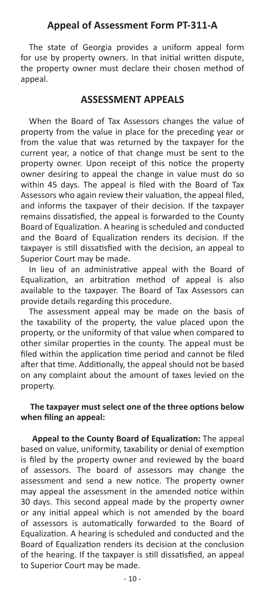#### **Appeal of Assessment Form PT-311-A**

The state of Georgia provides a uniform appeal form for use by property owners. In that initial written dispute, the property owner must declare their chosen method of appeal.

#### **ASSESSMENT APPEALS**

When the Board of Tax Assessors changes the value of property from the value in place for the preceding year or from the value that was returned by the taxpayer for the current year, a notice of that change must be sent to the property owner. Upon receipt of this notice the property owner desiring to appeal the change in value must do so within 45 days. The appeal is filed with the Board of Tax Assessors who again review their valuation, the appeal filed, and informs the taxpayer of their decision. If the taxpayer remains dissatisfied, the appeal is forwarded to the County Board of Equalization. A hearing is scheduled and conducted and the Board of Equalization renders its decision. If the taxpayer is still dissatisfied with the decision, an appeal to Superior Court may be made.

In lieu of an administrative appeal with the Board of Equalization, an arbitration method of appeal is also available to the taxpayer. The Board of Tax Assessors can provide details regarding this procedure.

The assessment appeal may be made on the basis of the taxability of the property, the value placed upon the property, or the uniformity of that value when compared to other similar properties in the county. The appeal must be filed within the application time period and cannot be filed after that time. Additionally, the appeal should not be based on any complaint about the amount of taxes levied on the property.

#### **The taxpayer must select one of the three options below when filing an appeal:**

 **Appeal to the County Board of Equalization:** The appeal based on value, uniformity, taxability or denial of exemption is filed by the property owner and reviewed by the board of assessors. The board of assessors may change the assessment and send a new notice. The property owner may appeal the assessment in the amended notice within 30 days. This second appeal made by the property owner or any initial appeal which is not amended by the board of assessors is automatically forwarded to the Board of Equalization. A hearing is scheduled and conducted and the Board of Equalization renders its decision at the conclusion of the hearing. If the taxpayer is still dissatisfied, an appeal to Superior Court may be made.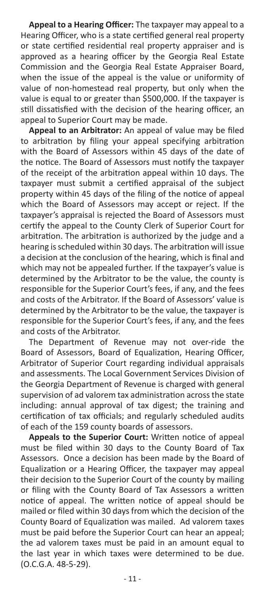**Appeal to a Hearing Officer:** The taxpayer may appeal to a Hearing Officer, who is a state certified general real property or state certified residential real property appraiser and is approved as a hearing officer by the Georgia Real Estate Commission and the Georgia Real Estate Appraiser Board, when the issue of the appeal is the value or uniformity of value of non-homestead real property, but only when the value is equal to or greater than \$500,000. If the taxpayer is still dissatisfied with the decision of the hearing officer, an appeal to Superior Court may be made.

**Appeal to an Arbitrator:** An appeal of value may be filed to arbitration by filing your appeal specifying arbitration with the Board of Assessors within 45 days of the date of the notice. The Board of Assessors must notify the taxpayer of the receipt of the arbitration appeal within 10 days. The taxpayer must submit a certified appraisal of the subject property within 45 days of the filing of the notice of appeal which the Board of Assessors may accept or reject. If the taxpayer's appraisal is rejected the Board of Assessors must certify the appeal to the County Clerk of Superior Court for arbitration. The arbitration is authorized by the judge and a hearing is scheduled within 30 days. The arbitration will issue a decision at the conclusion of the hearing, which is final and which may not be appealed further. If the taxpayer's value is determined by the Arbitrator to be the value, the county is responsible for the Superior Court's fees, if any, and the fees and costs of the Arbitrator. If the Board of Assessors' value is determined by the Arbitrator to be the value, the taxpayer is responsible for the Superior Court's fees, if any, and the fees and costs of the Arbitrator.

The Department of Revenue may not over-ride the Board of Assessors, Board of Equalization, Hearing Officer, Arbitrator of Superior Court regarding individual appraisals and assessments. The Local Government Services Division of the Georgia Department of Revenue is charged with general supervision of ad valorem tax administration across the state including: annual approval of tax digest; the training and certification of tax officials; and regularly scheduled audits of each of the 159 county boards of assessors.

**Appeals to the Superior Court:** Written notice of appeal must be filed within 30 days to the County Board of Tax Assessors. Once a decision has been made by the Board of Equalization or a Hearing Officer, the taxpayer may appeal their decision to the Superior Court of the county by mailing or filing with the County Board of Tax Assessors a written notice of appeal. The written notice of appeal should be mailed or filed within 30 days from which the decision of the County Board of Equalization was mailed. Ad valorem taxes must be paid before the Superior Court can hear an appeal; the ad valorem taxes must be paid in an amount equal to the last year in which taxes were determined to be due. (O.C.G.A. 48-5-29).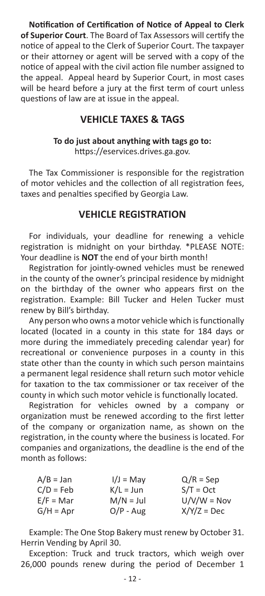**Notification of Certification of Notice of Appeal to Clerk of Superior Court**. The Board of Tax Assessors will certify the notice of appeal to the Clerk of Superior Court. The taxpayer or their attorney or agent will be served with a copy of the notice of appeal with the civil action file number assigned to the appeal. Appeal heard by Superior Court, in most cases will be heard before a jury at the first term of court unless questions of law are at issue in the appeal.

## **VEHICLE TAXES & TAGS**

#### **To do just about anything with tags go to:** https://eservices.drives.ga.gov.

The Tax Commissioner is responsible for the registration of motor vehicles and the collection of all registration fees, taxes and penalties specified by Georgia Law.

## **VEHICLE REGISTRATION**

For individuals, your deadline for renewing a vehicle registration is midnight on your birthday. \*PLEASE NOTE: Your deadline is **NOT** the end of your birth month!

Registration for jointly-owned vehicles must be renewed in the county of the owner's principal residence by midnight on the birthday of the owner who appears first on the registration. Example: Bill Tucker and Helen Tucker must renew by Bill's birthday.

Any person who owns a motor vehicle which is functionally located (located in a county in this state for 184 days or more during the immediately preceding calendar year) for recreational or convenience purposes in a county in this state other than the county in which such person maintains a permanent legal residence shall return such motor vehicle for taxation to the tax commissioner or tax receiver of the county in which such motor vehicle is functionally located.

Registration for vehicles owned by a company or organization must be renewed according to the first letter of the company or organization name, as shown on the registration, in the county where the business is located. For companies and organizations, the deadline is the end of the month as follows:

| A/B = Jan   | $I/J = May$ | $Q/R = Sep$   |
|-------------|-------------|---------------|
| C/D = Feb   | $K/L = Jun$ | $S/T = Oct$   |
| $E/F = Mar$ | $M/N = Jul$ | $U/V/W = Nov$ |
| $G/H = Apr$ | $O/P - Aug$ | $X/Y/Z = Dec$ |

Example: The One Stop Bakery must renew by October 31. Herrin Vending by April 30.

Exception: Truck and truck tractors, which weigh over 26,000 pounds renew during the period of December 1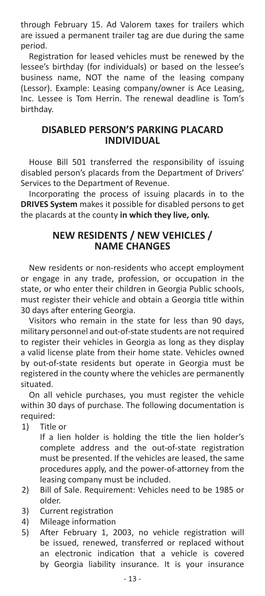through February 15. Ad Valorem taxes for trailers which are issued a permanent trailer tag are due during the same period.

Registration for leased vehicles must be renewed by the lessee's birthday (for individuals) or based on the lessee's business name, NOT the name of the leasing company (Lessor). Example: Leasing company/owner is Ace Leasing, Inc. Lessee is Tom Herrin. The renewal deadline is Tom's birthday.

## **DISABLED PERSON'S PARKING PLACARD INDIVIDUAL**

House Bill 501 transferred the responsibility of issuing disabled person's placards from the Department of Drivers' Services to the Department of Revenue.

Incorporating the process of issuing placards in to the **DRIVES System** makes it possible for disabled persons to get the placards at the county **in which they live, only.**

## **NEW RESIDENTS / NEW VEHICLES / NAME CHANGES**

New residents or non-residents who accept employment or engage in any trade, profession, or occupation in the state, or who enter their children in Georgia Public schools, must register their vehicle and obtain a Georgia title within 30 days after entering Georgia.

Visitors who remain in the state for less than 90 days, military personnel and out-of-state students are not required to register their vehicles in Georgia as long as they display a valid license plate from their home state. Vehicles owned by out-of-state residents but operate in Georgia must be registered in the county where the vehicles are permanently situated.

On all vehicle purchases, you must register the vehicle within 30 days of purchase. The following documentation is required:

1) Title or

If a lien holder is holding the title the lien holder's complete address and the out-of-state registration must be presented. If the vehicles are leased, the same procedures apply, and the power-of-attorney from the leasing company must be included.

- 2) Bill of Sale. Requirement: Vehicles need to be 1985 or older.
- 3) Current registration
- 4) Mileage information
- 5) After February 1, 2003, no vehicle registration will be issued, renewed, transferred or replaced without an electronic indication that a vehicle is covered by Georgia liability insurance. It is your insurance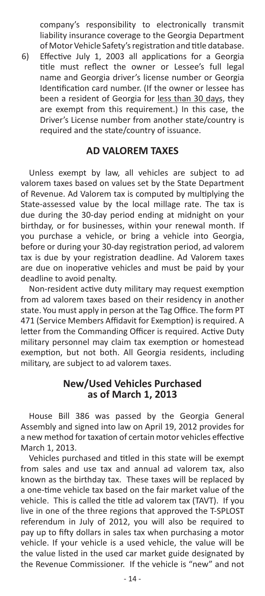company's responsibility to electronically transmit liability insurance coverage to the Georgia Department of Motor Vehicle Safety's registration and title database.

6) Effective July 1, 2003 all applications for a Georgia title must reflect the owner or Lessee's full legal name and Georgia driver's license number or Georgia Identification card number. (If the owner or lessee has been a resident of Georgia for less than 30 days, they are exempt from this requirement.) In this case, the Driver's License number from another state/country is required and the state/country of issuance.

#### **AD VALOREM TAXES**

Unless exempt by law, all vehicles are subject to ad valorem taxes based on values set by the State Department of Revenue. Ad Valorem tax is computed by multiplying the State-assessed value by the local millage rate. The tax is due during the 30-day period ending at midnight on your birthday, or for businesses, within your renewal month. If you purchase a vehicle, or bring a vehicle into Georgia, before or during your 30-day registration period, ad valorem tax is due by your registration deadline. Ad Valorem taxes are due on inoperative vehicles and must be paid by your deadline to avoid penalty.

Non-resident active duty military may request exemption from ad valorem taxes based on their residency in another state. You must apply in person at the Tag Office. The form PT 471 (Service Members Affidavit for Exemption) is required. A letter from the Commanding Officer is required. Active Duty military personnel may claim tax exemption or homestead exemption, but not both. All Georgia residents, including military, are subject to ad valorem taxes.

## **New/Used Vehicles Purchased as of March 1, 2013**

House Bill 386 was passed by the Georgia General Assembly and signed into law on April 19, 2012 provides for a new method for taxation of certain motor vehicles effective March 1, 2013.

Vehicles purchased and titled in this state will be exempt from sales and use tax and annual ad valorem tax, also known as the birthday tax. These taxes will be replaced by a one-time vehicle tax based on the fair market value of the vehicle. This is called the title ad valorem tax (TAVT). If you live in one of the three regions that approved the T-SPLOST referendum in July of 2012, you will also be required to pay up to fifty dollars in sales tax when purchasing a motor vehicle. If your vehicle is a used vehicle, the value will be the value listed in the used car market guide designated by the Revenue Commissioner. If the vehicle is "new" and not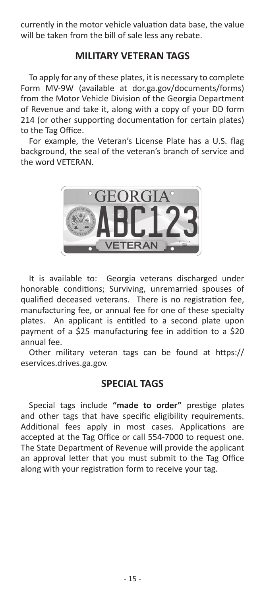currently in the motor vehicle valuation data base, the value will be taken from the bill of sale less any rebate.

## **MILITARY VETERAN TAGS**

To apply for any of these plates, it is necessary to complete Form MV-9W (available at dor.ga.gov/documents/forms) from the Motor Vehicle Division of the Georgia Department of Revenue and take it, along with a copy of your DD form 214 (or other supporting documentation for certain plates) to the Tag Office.

For example, the Veteran's License Plate has a U.S. flag background, the seal of the veteran's branch of service and the word VETERAN.



It is available to: Georgia veterans discharged under honorable conditions; Surviving, unremarried spouses of qualified deceased veterans. There is no registration fee, manufacturing fee, or annual fee for one of these specialty plates. An applicant is entitled to a second plate upon payment of a \$25 manufacturing fee in addition to a \$20 annual fee.

Other military veteran tags can be found at https:// eservices.drives.ga.gov.

## **SPECIAL TAGS**

Special tags include **"made to order"** prestige plates and other tags that have specific eligibility requirements. Additional fees apply in most cases. Applications are accepted at the Tag Office or call 554-7000 to request one. The State Department of Revenue will provide the applicant an approval letter that you must submit to the Tag Office along with your registration form to receive your tag.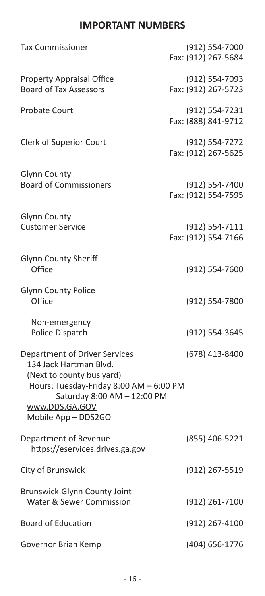## **IMPORTANT NUMBERS**

| <b>Tax Commissioner</b>                                                                                                                                                                                 | (912) 554-7000<br>Fax: (912) 267-5684 |  |
|---------------------------------------------------------------------------------------------------------------------------------------------------------------------------------------------------------|---------------------------------------|--|
| <b>Property Appraisal Office</b><br><b>Board of Tax Assessors</b>                                                                                                                                       | (912) 554-7093<br>Fax: (912) 267-5723 |  |
| <b>Probate Court</b>                                                                                                                                                                                    | (912) 554-7231<br>Fax: (888) 841-9712 |  |
| Clerk of Superior Court                                                                                                                                                                                 | (912) 554-7272<br>Fax: (912) 267-5625 |  |
| Glynn County<br><b>Board of Commissioners</b>                                                                                                                                                           | (912) 554-7400<br>Fax: (912) 554-7595 |  |
| <b>Glynn County</b><br><b>Customer Service</b>                                                                                                                                                          | (912) 554-7111<br>Fax: (912) 554-7166 |  |
| Glynn County Sheriff<br>Office                                                                                                                                                                          | (912) 554-7600                        |  |
| <b>Glynn County Police</b><br>Office                                                                                                                                                                    | (912) 554-7800                        |  |
| Non-emergency<br>Police Dispatch                                                                                                                                                                        | (912) 554-3645                        |  |
| Department of Driver Services<br>134 Jack Hartman Blvd.<br>(Next to county bus yard)<br>Hours: Tuesday-Friday 8:00 AM - 6:00 PM<br>Saturday 8:00 AM - 12:00 PM<br>www.DDS.GA.GOV<br>Mobile App - DDS2GO | (678) 413-8400                        |  |
| Department of Revenue<br>https://eservices.drives.ga.gov                                                                                                                                                | (855) 406-5221                        |  |
| City of Brunswick                                                                                                                                                                                       | (912) 267-5519                        |  |
| Brunswick-Glynn County Joint<br><b>Water &amp; Sewer Commission</b>                                                                                                                                     | (912) 261-7100                        |  |
| <b>Board of Education</b>                                                                                                                                                                               | (912) 267-4100                        |  |
| Governor Brian Kemp                                                                                                                                                                                     | (404) 656-1776                        |  |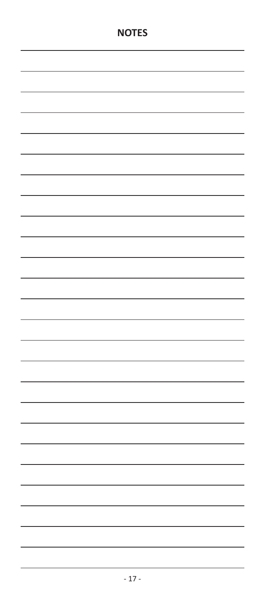|  |  | - |
|--|--|---|
|  |  | í |
|  |  |   |
|  |  | - |
|  |  |   |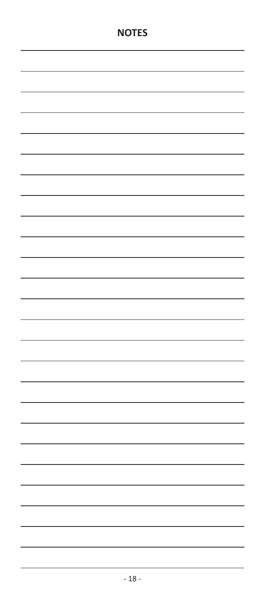|  |  | í  |
|--|--|----|
|  |  |    |
|  |  | f  |
|  |  | J, |
|  |  |    |